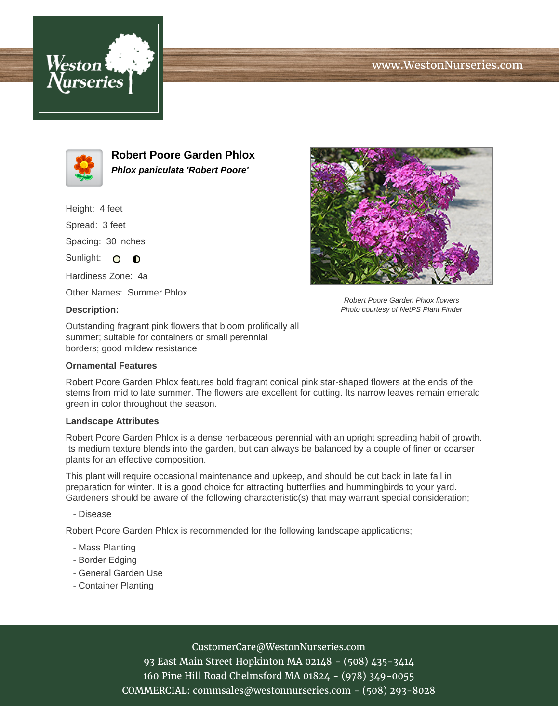# www.WestonNurseries.com





**Robert Poore Garden Phlox Phlox paniculata 'Robert Poore'**

Height: 4 feet

Spread: 3 feet

Spacing: 30 inches

Sunlight: O **O** 

Hardiness Zone: 4a

Other Names: Summer Phlox

#### **Description:**

Robert Poore Garden Phlox flowers Photo courtesy of NetPS Plant Finder

Outstanding fragrant pink flowers that bloom prolifically all summer; suitable for containers or small perennial borders; good mildew resistance

### **Ornamental Features**

Robert Poore Garden Phlox features bold fragrant conical pink star-shaped flowers at the ends of the stems from mid to late summer. The flowers are excellent for cutting. Its narrow leaves remain emerald green in color throughout the season.

# **Landscape Attributes**

Robert Poore Garden Phlox is a dense herbaceous perennial with an upright spreading habit of growth. Its medium texture blends into the garden, but can always be balanced by a couple of finer or coarser plants for an effective composition.

This plant will require occasional maintenance and upkeep, and should be cut back in late fall in preparation for winter. It is a good choice for attracting butterflies and hummingbirds to your yard. Gardeners should be aware of the following characteristic(s) that may warrant special consideration;

- Disease

Robert Poore Garden Phlox is recommended for the following landscape applications;

- Mass Planting
- Border Edging
- General Garden Use
- Container Planting

# CustomerCare@WestonNurseries.com

93 East Main Street Hopkinton MA 02148 - (508) 435-3414 160 Pine Hill Road Chelmsford MA 01824 - (978) 349-0055 COMMERCIAL: commsales@westonnurseries.com - (508) 293-8028